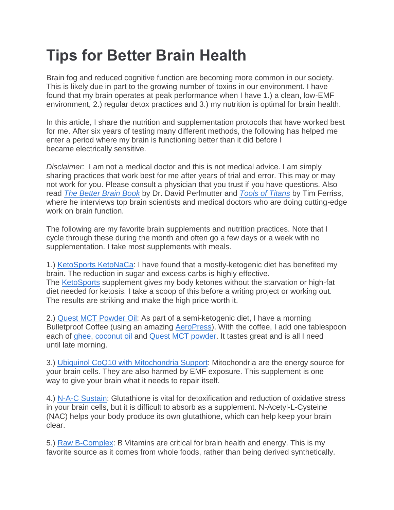## **Tips for Better Brain Health**

Brain fog and reduced cognitive function are becoming more common in our society. This is likely due in part to the growing number of toxins in our environment. I have found that my brain operates at peak performance when I have 1.) a clean, low-EMF environment, 2.) regular detox practices and 3.) my nutrition is optimal for brain health.

In this article, I share the nutrition and supplementation protocols that have worked best for me. After six years of testing many different methods, the following has helped me enter a period where my brain is functioning better than it did before I became electrically sensitive.

*Disclaimer:* I am not a medical doctor and this is not medical advice. I am simply sharing practices that work best for me after years of trial and error. This may or may not work for you. Please consult a physician that you trust if you have questions. Also read *The [Better](https://www.amazon.com/gp/product/1594480931/ref=as_li_tl?ie=UTF8&tag=emfanalysisco-20&camp=1789&creative=9325&linkCode=as2&creativeASIN=1594480931&linkId=852718a2621401720938bb3c4e7786e2) Brain Book* by Dr. David Perlmutter and *Tools of [Titans](https://www.amazon.com/gp/product/1328683788/ref=as_li_tl?ie=UTF8&tag=emfanalysisco-20&camp=1789&creative=9325&linkCode=as2&creativeASIN=1328683788&linkId=15b0d1153bd2af902cef03ceb721b48d)* by Tim Ferriss, where he interviews top brain scientists and medical doctors who are doing cutting-edge work on brain function.

The following are my favorite brain supplements and nutrition practices. Note that I cycle through these during the month and often go a few days or a week with no supplementation. I take most supplements with meals.

1.) [KetoSports](https://www.amazon.com/gp/product/B00U7R7194/ref=as_li_tl?ie=UTF8&tag=emfanalysisco-20&camp=1789&creative=9325&linkCode=as2&creativeASIN=B00U7R7194&linkId=2f26ea887628876d352f99ec616f5bee) KetoNaCa: I have found that a mostly-ketogenic diet has benefited my brain. The reduction in sugar and excess carbs is highly effective. The [KetoSports](https://www.amazon.com/gp/product/B00U7R7194/ref=as_li_tl?ie=UTF8&tag=emfanalysisco-20&camp=1789&creative=9325&linkCode=as2&creativeASIN=B00U7R7194&linkId=2f26ea887628876d352f99ec616f5bee) supplement gives my body ketones without the starvation or high-fat diet needed for ketosis. I take a scoop of this before a writing project or working out. The results are striking and make the high price worth it.

2.) Quest MCT [Powder](https://www.amazon.com/gp/product/B016APVE5S/ref=as_li_tl?ie=UTF8&tag=emfanalysisco-20&camp=1789&creative=9325&linkCode=as2&creativeASIN=B016APVE5S&linkId=c44623dd39c3ba2fca88e99fdce73774) Oil: As part of a semi-ketogenic diet, I have a morning Bulletproof Coffee (using an amazing [AeroPress\)](https://www.amazon.com/gp/product/B0047BIWSK/ref=as_li_tl?ie=UTF8&tag=emfanalysisco-20&camp=1789&creative=9325&linkCode=as2&creativeASIN=B0047BIWSK&linkId=d1d89bd7953b6633490978a76aeefecb). With the coffee, I add one tablespoon each of [ghee,](https://www.amazon.com/gp/product/B00VXQGY1Y/ref=as_li_tl?ie=UTF8&tag=emfanalysisco-20&camp=1789&creative=9325&linkCode=as2&creativeASIN=B00VXQGY1Y&linkId=8269712ffe9de0f9e34802dfad620f13) [coconut](https://www.amazon.com/gp/product/B00DS842HS/ref=as_li_tl?ie=UTF8&tag=emfanalysisco-20&camp=1789&creative=9325&linkCode=as2&creativeASIN=B00DS842HS&linkId=84988fd2d8af1cef1272ac39bbc2006f) oil and Quest MCT [powder.](https://www.amazon.com/gp/product/B016APVE5S/ref=as_li_tl?ie=UTF8&tag=emfanalysisco-20&camp=1789&creative=9325&linkCode=as2&creativeASIN=B016APVE5S&linkId=c44623dd39c3ba2fca88e99fdce73774) It tastes great and is all I need until late morning.

3.) Ubiquinol CoQ10 with [Mitochondria](https://www.amazon.com/gp/product/B003VBK5RS/ref=as_li_tl?ie=UTF8&tag=emfanalysisco-20&camp=1789&creative=9325&linkCode=as2&creativeASIN=B003VBK5RS&linkId=04909594ae49ce6020528a1ca78e5a81) Support: Mitochondria are the energy source for your brain cells. They are also harmed by EMF exposure. This supplement is one way to give your brain what it needs to repair itself.

4.) N-A-C [Sustain:](https://www.amazon.com/gp/product/B0013OVVK0/ref=as_li_tl?ie=UTF8&tag=emfanalysisco-20&camp=1789&creative=9325&linkCode=as2&creativeASIN=B0013OVVK0&linkId=9f141fb3444256ea2fe94faaab82c29d) Glutathione is vital for detoxification and reduction of oxidative stress in your brain cells, but it is difficult to absorb as a supplement. N-Acetyl-L-Cysteine (NAC) helps your body produce its own glutathione, which can help keep your brain clear.

5.) Raw [B-Complex:](https://www.amazon.com/gp/product/B0098U0SQO/ref=as_li_tl?ie=UTF8&tag=emfanalysisco-20&camp=1789&creative=9325&linkCode=as2&creativeASIN=B0098U0SQO&linkId=786c251a67da32ea74b777abc9658589) B Vitamins are critical for brain health and energy. This is my favorite source as it comes from whole foods, rather than being derived synthetically.